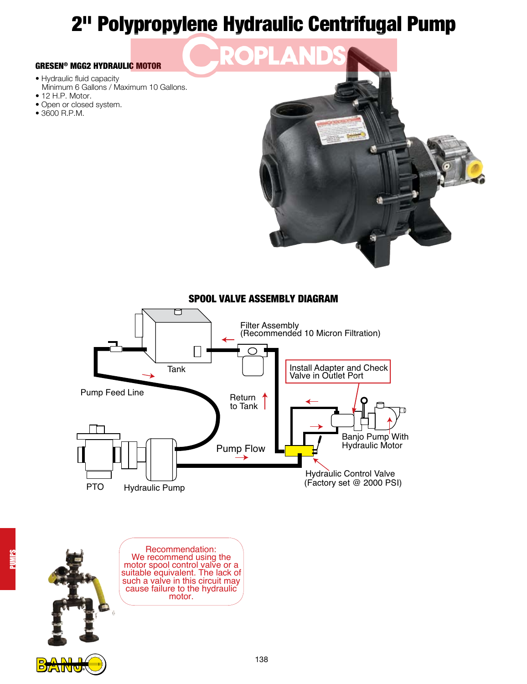# 2" Polypropylene Hydraulic Centrifugal Pump

P)

#### GRESEN® MGG2 HYDRAULIC MOTOR

- Hydraulic fluid capacity Minimum 6 Gallons / Maximum 10 Gallons.
- 12 H.P. Motor.
- Open or closed system.
- 3600 R.P.M.





### SPOOL VALVE ASSEMBLY DIAGRAM